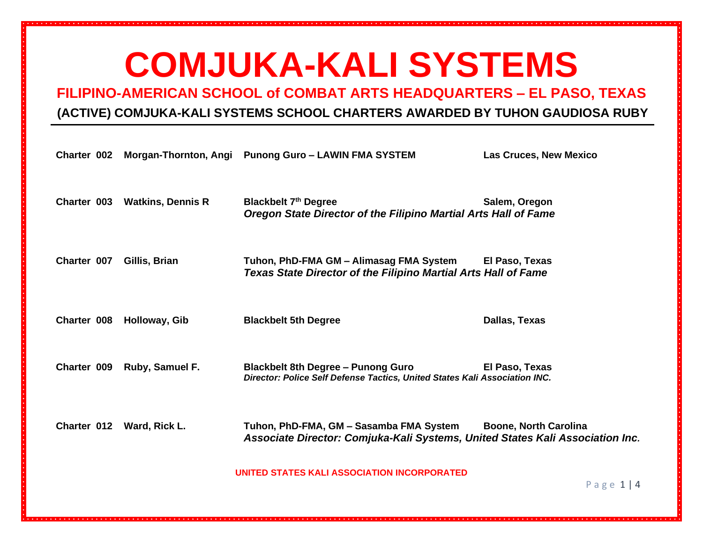**FILIPINO-AMERICAN SCHOOL of COMBAT ARTS HEADQUARTERS – EL PASO, TEXAS**

#### **(ACTIVE) COMJUKA-KALI SYSTEMS SCHOOL CHARTERS AWARDED BY TUHON GAUDIOSA RUBY**

| Charter 002 |                           | Morgan-Thornton, Angi Punong Guro - LAWIN FMA SYSTEM                                                                     | <b>Las Cruces, New Mexico</b> |
|-------------|---------------------------|--------------------------------------------------------------------------------------------------------------------------|-------------------------------|
| Charter 003 | <b>Watkins, Dennis R</b>  | <b>Blackbelt 7th Degree</b><br><b>Oregon State Director of the Filipino Martial Arts Hall of Fame</b>                    | Salem, Oregon                 |
| Charter 007 | Gillis, Brian             | Tuhon, PhD-FMA GM - Alimasag FMA System<br>Texas State Director of the Filipino Martial Arts Hall of Fame                | El Paso, Texas                |
| Charter 008 | Holloway, Gib             | <b>Blackbelt 5th Degree</b>                                                                                              | Dallas, Texas                 |
| Charter 009 | Ruby, Samuel F.           | <b>Blackbelt 8th Degree - Punong Guro</b><br>Director: Police Self Defense Tactics, United States Kali Association INC.  | El Paso, Texas                |
|             | Charter 012 Ward, Rick L. | Tuhon, PhD-FMA, GM – Sasamba FMA System<br>Associate Director: Comjuka-Kali Systems, United States Kali Association Inc. | <b>Boone, North Carolina</b>  |
|             |                           | UNITED STATES KALI ASSOCIATION INCORPORATED                                                                              | Page $1 4$                    |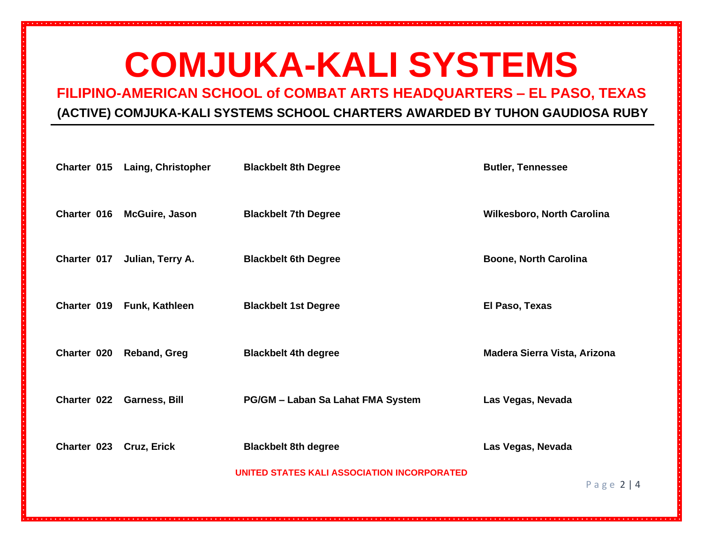**FILIPINO-AMERICAN SCHOOL of COMBAT ARTS HEADQUARTERS – EL PASO, TEXAS**

### **(ACTIVE) COMJUKA-KALI SYSTEMS SCHOOL CHARTERS AWARDED BY TUHON GAUDIOSA RUBY**

|                         | Charter 015 Laing, Christopher | <b>Blackbelt 8th Degree</b>                 | <b>Butler, Tennessee</b>     |
|-------------------------|--------------------------------|---------------------------------------------|------------------------------|
| Charter 016             | <b>McGuire, Jason</b>          | <b>Blackbelt 7th Degree</b>                 | Wilkesboro, North Carolina   |
| Charter 017             | Julian, Terry A.               | <b>Blackbelt 6th Degree</b>                 | <b>Boone, North Carolina</b> |
|                         | Charter 019 Funk, Kathleen     | <b>Blackbelt 1st Degree</b>                 | El Paso, Texas               |
| Charter 020             | <b>Reband, Greg</b>            | <b>Blackbelt 4th degree</b>                 | Madera Sierra Vista, Arizona |
|                         | Charter 022 Garness, Bill      | PG/GM - Laban Sa Lahat FMA System           | Las Vegas, Nevada            |
| Charter 023 Cruz, Erick |                                | <b>Blackbelt 8th degree</b>                 | Las Vegas, Nevada            |
|                         |                                | UNITED STATES KALI ASSOCIATION INCORPORATED | Page $2 4$                   |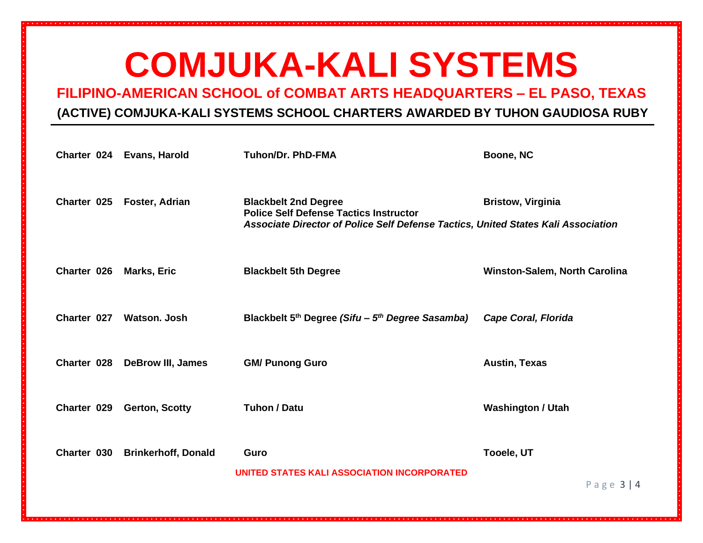**FILIPINO-AMERICAN SCHOOL of COMBAT ARTS HEADQUARTERS – EL PASO, TEXAS**

### **(ACTIVE) COMJUKA-KALI SYSTEMS SCHOOL CHARTERS AWARDED BY TUHON GAUDIOSA RUBY**

| Charter 024 | Evans, Harold              | <b>Tuhon/Dr. PhD-FMA</b>                                                                                                                                          | <b>Boone, NC</b>                     |
|-------------|----------------------------|-------------------------------------------------------------------------------------------------------------------------------------------------------------------|--------------------------------------|
| Charter 025 | <b>Foster, Adrian</b>      | <b>Blackbelt 2nd Degree</b><br><b>Police Self Defense Tactics Instructor</b><br>Associate Director of Police Self Defense Tactics, United States Kali Association | <b>Bristow, Virginia</b>             |
| Charter 026 | <b>Marks, Eric</b>         | <b>Blackbelt 5th Degree</b>                                                                                                                                       | <b>Winston-Salem, North Carolina</b> |
| Charter 027 | Watson, Josh               | Blackbelt 5 <sup>th</sup> Degree (Sifu – 5 <sup>th</sup> Degree Sasamba)                                                                                          | <b>Cape Coral, Florida</b>           |
| Charter 028 | <b>DeBrow III, James</b>   | <b>GM/ Punong Guro</b>                                                                                                                                            | <b>Austin, Texas</b>                 |
| Charter 029 | <b>Gerton, Scotty</b>      | <b>Tuhon / Datu</b>                                                                                                                                               | <b>Washington / Utah</b>             |
| Charter 030 | <b>Brinkerhoff, Donald</b> | Guro<br>UNITED STATES KALI ASSOCIATION INCORPORATED                                                                                                               | <b>Tooele, UT</b><br>Page $3 4$      |